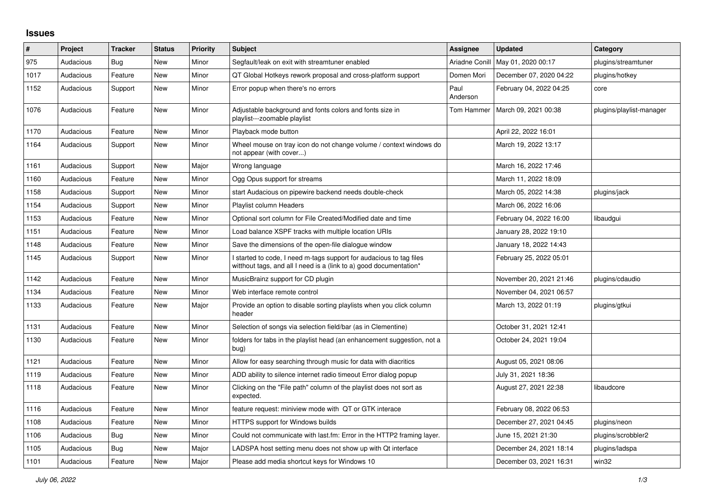## **Issues**

| $\sharp$ | Project   | <b>Tracker</b> | <b>Status</b> | <b>Priority</b> | <b>Subject</b>                                                                                                                            | <b>Assignee</b>  | <b>Updated</b>          | Category                 |
|----------|-----------|----------------|---------------|-----------------|-------------------------------------------------------------------------------------------------------------------------------------------|------------------|-------------------------|--------------------------|
| 975      | Audacious | Bug            | New           | Minor           | Segfault/leak on exit with streamtuner enabled                                                                                            | Ariadne Conill   | May 01, 2020 00:17      | plugins/streamtuner      |
| 1017     | Audacious | Feature        | <b>New</b>    | Minor           | QT Global Hotkeys rework proposal and cross-platform support                                                                              | Domen Mori       | December 07, 2020 04:22 | plugins/hotkey           |
| 1152     | Audacious | Support        | <b>New</b>    | Minor           | Error popup when there's no errors                                                                                                        | Paul<br>Anderson | February 04, 2022 04:25 | core                     |
| 1076     | Audacious | Feature        | <b>New</b>    | Minor           | Adjustable background and fonts colors and fonts size in<br>playlist---zoomable playlist                                                  | Tom Hammer       | March 09, 2021 00:38    | plugins/playlist-manager |
| 1170     | Audacious | Feature        | <b>New</b>    | Minor           | Playback mode button                                                                                                                      |                  | April 22, 2022 16:01    |                          |
| 1164     | Audacious | Support        | New           | Minor           | Wheel mouse on tray icon do not change volume / context windows do<br>not appear (with cover)                                             |                  | March 19, 2022 13:17    |                          |
| 1161     | Audacious | Support        | New           | Major           | Wrong language                                                                                                                            |                  | March 16, 2022 17:46    |                          |
| 1160     | Audacious | Feature        | <b>New</b>    | Minor           | Ogg Opus support for streams                                                                                                              |                  | March 11, 2022 18:09    |                          |
| 1158     | Audacious | Support        | New           | Minor           | start Audacious on pipewire backend needs double-check                                                                                    |                  | March 05, 2022 14:38    | plugins/jack             |
| 1154     | Audacious | Support        | <b>New</b>    | Minor           | Playlist column Headers                                                                                                                   |                  | March 06, 2022 16:06    |                          |
| 1153     | Audacious | Feature        | New           | Minor           | Optional sort column for File Created/Modified date and time                                                                              |                  | February 04, 2022 16:00 | libaudqui                |
| 1151     | Audacious | Feature        | <b>New</b>    | Minor           | Load balance XSPF tracks with multiple location URIs                                                                                      |                  | January 28, 2022 19:10  |                          |
| 1148     | Audacious | Feature        | New           | Minor           | Save the dimensions of the open-file dialogue window                                                                                      |                  | January 18, 2022 14:43  |                          |
| 1145     | Audacious | Support        | New           | Minor           | I started to code, I need m-tags support for audacious to tag files<br>witthout tags, and all I need is a (link to a) good documentation* |                  | February 25, 2022 05:01 |                          |
| 1142     | Audacious | Feature        | <b>New</b>    | Minor           | MusicBrainz support for CD plugin                                                                                                         |                  | November 20, 2021 21:46 | plugins/cdaudio          |
| 1134     | Audacious | Feature        | <b>New</b>    | Minor           | Web interface remote control                                                                                                              |                  | November 04, 2021 06:57 |                          |
| 1133     | Audacious | Feature        | New           | Major           | Provide an option to disable sorting playlists when you click column<br>header                                                            |                  | March 13, 2022 01:19    | plugins/gtkui            |
| 1131     | Audacious | Feature        | New           | Minor           | Selection of songs via selection field/bar (as in Clementine)                                                                             |                  | October 31, 2021 12:41  |                          |
| 1130     | Audacious | Feature        | <b>New</b>    | Minor           | folders for tabs in the playlist head (an enhancement suggestion, not a<br>bug)                                                           |                  | October 24, 2021 19:04  |                          |
| 1121     | Audacious | Feature        | <b>New</b>    | Minor           | Allow for easy searching through music for data with diacritics                                                                           |                  | August 05, 2021 08:06   |                          |
| 1119     | Audacious | Feature        | New           | Minor           | ADD ability to silence internet radio timeout Error dialog popup                                                                          |                  | July 31, 2021 18:36     |                          |
| 1118     | Audacious | Feature        | New           | Minor           | Clicking on the "File path" column of the playlist does not sort as<br>expected.                                                          |                  | August 27, 2021 22:38   | libaudcore               |
| 1116     | Audacious | Feature        | New           | Minor           | feature request: miniview mode with QT or GTK interace                                                                                    |                  | February 08, 2022 06:53 |                          |
| 1108     | Audacious | Feature        | New           | Minor           | HTTPS support for Windows builds                                                                                                          |                  | December 27, 2021 04:45 | plugins/neon             |
| 1106     | Audacious | Bug            | <b>New</b>    | Minor           | Could not communicate with last.fm: Error in the HTTP2 framing layer.                                                                     |                  | June 15, 2021 21:30     | plugins/scrobbler2       |
| 1105     | Audacious | Bug            | <b>New</b>    | Major           | LADSPA host setting menu does not show up with Qt interface                                                                               |                  | December 24, 2021 18:14 | plugins/ladspa           |
| 1101     | Audacious | Feature        | <b>New</b>    | Major           | Please add media shortcut keys for Windows 10                                                                                             |                  | December 03, 2021 16:31 | win32                    |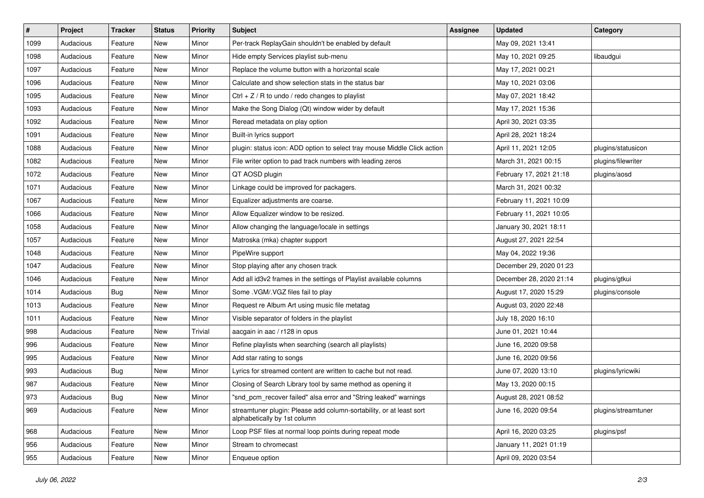| $\vert$ # | Project   | <b>Tracker</b> | <b>Status</b> | <b>Priority</b> | <b>Subject</b>                                                                                      | <b>Assignee</b> | <b>Updated</b>          | Category            |
|-----------|-----------|----------------|---------------|-----------------|-----------------------------------------------------------------------------------------------------|-----------------|-------------------------|---------------------|
| 1099      | Audacious | Feature        | New           | Minor           | Per-track ReplayGain shouldn't be enabled by default                                                |                 | May 09, 2021 13:41      |                     |
| 1098      | Audacious | Feature        | New           | Minor           | Hide empty Services playlist sub-menu                                                               |                 | May 10, 2021 09:25      | libaudgui           |
| 1097      | Audacious | Feature        | New           | Minor           | Replace the volume button with a horizontal scale                                                   |                 | May 17, 2021 00:21      |                     |
| 1096      | Audacious | Feature        | New           | Minor           | Calculate and show selection stats in the status bar                                                |                 | May 10, 2021 03:06      |                     |
| 1095      | Audacious | Feature        | New           | Minor           | Ctrl $+$ Z / R to undo / redo changes to playlist                                                   |                 | May 07, 2021 18:42      |                     |
| 1093      | Audacious | Feature        | New           | Minor           | Make the Song Dialog (Qt) window wider by default                                                   |                 | May 17, 2021 15:36      |                     |
| 1092      | Audacious | Feature        | New           | Minor           | Reread metadata on play option                                                                      |                 | April 30, 2021 03:35    |                     |
| 1091      | Audacious | Feature        | New           | Minor           | Built-in lyrics support                                                                             |                 | April 28, 2021 18:24    |                     |
| 1088      | Audacious | Feature        | New           | Minor           | plugin: status icon: ADD option to select tray mouse Middle Click action                            |                 | April 11, 2021 12:05    | plugins/statusicon  |
| 1082      | Audacious | Feature        | <b>New</b>    | Minor           | File writer option to pad track numbers with leading zeros                                          |                 | March 31, 2021 00:15    | plugins/filewriter  |
| 1072      | Audacious | Feature        | New           | Minor           | QT AOSD plugin                                                                                      |                 | February 17, 2021 21:18 | plugins/aosd        |
| 1071      | Audacious | Feature        | New           | Minor           | Linkage could be improved for packagers.                                                            |                 | March 31, 2021 00:32    |                     |
| 1067      | Audacious | Feature        | New           | Minor           | Equalizer adjustments are coarse.                                                                   |                 | February 11, 2021 10:09 |                     |
| 1066      | Audacious | Feature        | New           | Minor           | Allow Equalizer window to be resized.                                                               |                 | February 11, 2021 10:05 |                     |
| 1058      | Audacious | Feature        | New           | Minor           | Allow changing the language/locale in settings                                                      |                 | January 30, 2021 18:11  |                     |
| 1057      | Audacious | Feature        | New           | Minor           | Matroska (mka) chapter support                                                                      |                 | August 27, 2021 22:54   |                     |
| 1048      | Audacious | Feature        | New           | Minor           | PipeWire support                                                                                    |                 | May 04, 2022 19:36      |                     |
| 1047      | Audacious | Feature        | New           | Minor           | Stop playing after any chosen track                                                                 |                 | December 29, 2020 01:23 |                     |
| 1046      | Audacious | Feature        | New           | Minor           | Add all id3v2 frames in the settings of Playlist available columns                                  |                 | December 28, 2020 21:14 | plugins/gtkui       |
| 1014      | Audacious | <b>Bug</b>     | New           | Minor           | Some .VGM/.VGZ files fail to play                                                                   |                 | August 17, 2020 15:29   | plugins/console     |
| 1013      | Audacious | Feature        | New           | Minor           | Request re Album Art using music file metatag                                                       |                 | August 03, 2020 22:48   |                     |
| 1011      | Audacious | Feature        | New           | Minor           | Visible separator of folders in the playlist                                                        |                 | July 18, 2020 16:10     |                     |
| 998       | Audacious | Feature        | New           | Trivial         | aacgain in aac / r128 in opus                                                                       |                 | June 01, 2021 10:44     |                     |
| 996       | Audacious | Feature        | New           | Minor           | Refine playlists when searching (search all playlists)                                              |                 | June 16, 2020 09:58     |                     |
| 995       | Audacious | Feature        | New           | Minor           | Add star rating to songs                                                                            |                 | June 16, 2020 09:56     |                     |
| 993       | Audacious | Bug            | New           | Minor           | Lyrics for streamed content are written to cache but not read.                                      |                 | June 07, 2020 13:10     | plugins/lyricwiki   |
| 987       | Audacious | Feature        | New           | Minor           | Closing of Search Library tool by same method as opening it                                         |                 | May 13, 2020 00:15      |                     |
| 973       | Audacious | Bug            | New           | Minor           | "snd_pcm_recover failed" alsa error and "String leaked" warnings                                    |                 | August 28, 2021 08:52   |                     |
| 969       | Audacious | Feature        | New           | Minor           | streamtuner plugin: Please add column-sortability, or at least sort<br>alphabetically by 1st column |                 | June 16, 2020 09:54     | plugins/streamtuner |
| 968       | Audacious | Feature        | New           | Minor           | Loop PSF files at normal loop points during repeat mode                                             |                 | April 16, 2020 03:25    | plugins/psf         |
| 956       | Audacious | Feature        | New           | Minor           | Stream to chromecast                                                                                |                 | January 11, 2021 01:19  |                     |
| 955       | Audacious | Feature        | New           | Minor           | Enqueue option                                                                                      |                 | April 09, 2020 03:54    |                     |